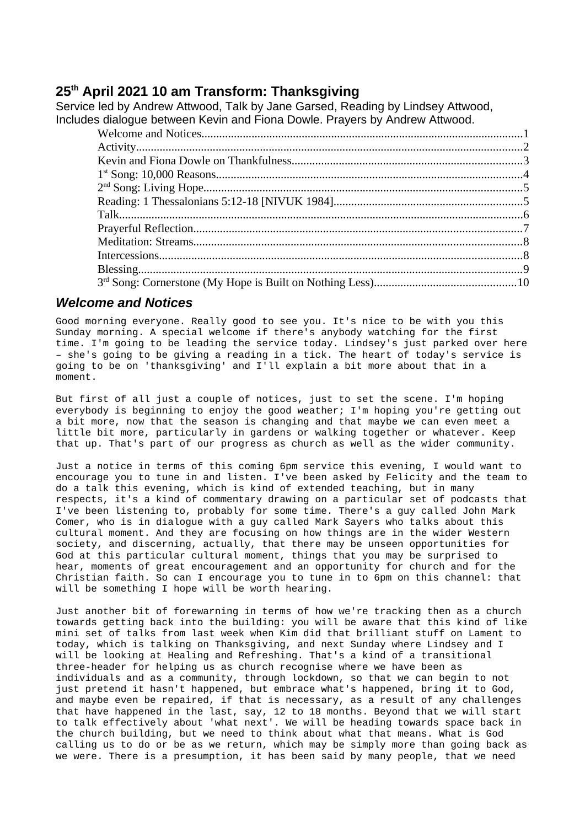# **25th April 2021 10 am Transform: Thanksgiving**

Service led by Andrew Attwood, Talk by Jane Garsed, Reading by Lindsey Attwood, Includes dialogue between Kevin and Fiona Dowle. Prayers by Andrew Attwood.

## <span id="page-0-0"></span>*Welcome and Notices*

Good morning everyone. Really good to see you. It's nice to be with you this Sunday morning. A special welcome if there's anybody watching for the first time. I'm going to be leading the service today. Lindsey's just parked over here – she's going to be giving a reading in a tick. The heart of today's service is going to be on 'thanksgiving' and I'll explain a bit more about that in a moment.

But first of all just a couple of notices, just to set the scene. I'm hoping everybody is beginning to enjoy the good weather; I'm hoping you're getting out a bit more, now that the season is changing and that maybe we can even meet a little bit more, particularly in gardens or walking together or whatever. Keep that up. That's part of our progress as church as well as the wider community.

Just a notice in terms of this coming 6pm service this evening, I would want to encourage you to tune in and listen. I've been asked by Felicity and the team to do a talk this evening, which is kind of extended teaching, but in many respects, it's a kind of commentary drawing on a particular set of podcasts that I've been listening to, probably for some time. There's a guy called John Mark Comer, who is in dialogue with a guy called Mark Sayers who talks about this cultural moment. And they are focusing on how things are in the wider Western society, and discerning, actually, that there may be unseen opportunities for God at this particular cultural moment, things that you may be surprised to hear, moments of great encouragement and an opportunity for church and for the Christian faith. So can I encourage you to tune in to 6pm on this channel: that will be something I hope will be worth hearing.

Just another bit of forewarning in terms of how we're tracking then as a church towards getting back into the building: you will be aware that this kind of like mini set of talks from last week when Kim did that brilliant stuff on Lament to today, which is talking on Thanksgiving, and next Sunday where Lindsey and I will be looking at Healing and Refreshing. That's a kind of a transitional three-header for helping us as church recognise where we have been as individuals and as a community, through lockdown, so that we can begin to not just pretend it hasn't happened, but embrace what's happened, bring it to God, and maybe even be repaired, if that is necessary, as a result of any challenges that have happened in the last, say, 12 to 18 months. Beyond that we will start to talk effectively about 'what next'. We will be heading towards space back in the church building, but we need to think about what that means. What is God calling us to do or be as we return, which may be simply more than going back as we were. There is a presumption, it has been said by many people, that we need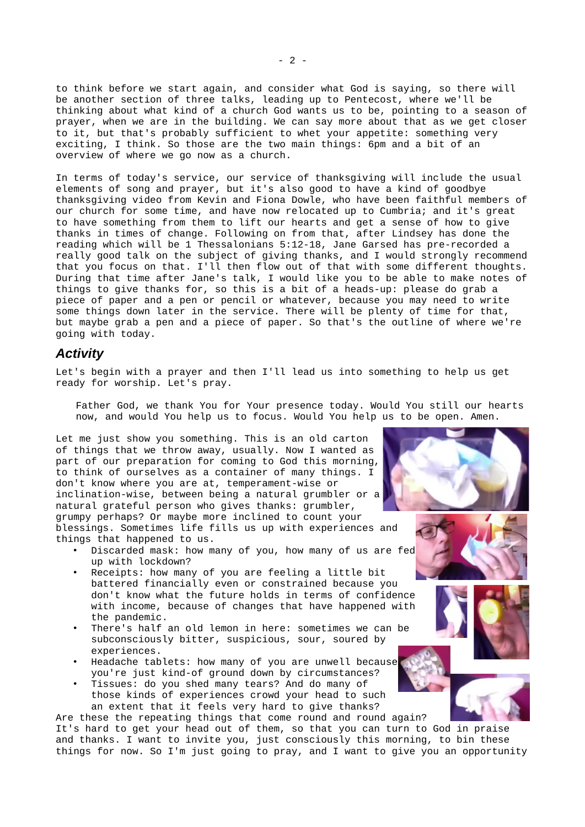to think before we start again, and consider what God is saying, so there will be another section of three talks, leading up to Pentecost, where we'll be thinking about what kind of a church God wants us to be, pointing to a season of prayer, when we are in the building. We can say more about that as we get closer to it, but that's probably sufficient to whet your appetite: something very exciting, I think. So those are the two main things: 6pm and a bit of an overview of where we go now as a church.

In terms of today's service, our service of thanksgiving will include the usual elements of song and prayer, but it's also good to have a kind of goodbye thanksgiving video from Kevin and Fiona Dowle, who have been faithful members of our church for some time, and have now relocated up to Cumbria; and it's great to have something from them to lift our hearts and get a sense of how to give thanks in times of change. Following on from that, after Lindsey has done the reading which will be 1 Thessalonians 5:12-18, Jane Garsed has pre-recorded a really good talk on the subject of giving thanks, and I would strongly recommend that you focus on that. I'll then flow out of that with some different thoughts. During that time after Jane's talk, I would like you to be able to make notes of things to give thanks for, so this is a bit of a heads-up: please do grab a piece of paper and a pen or pencil or whatever, because you may need to write some things down later in the service. There will be plenty of time for that, but maybe grab a pen and a piece of paper. So that's the outline of where we're going with today.

#### <span id="page-1-0"></span>*Activity*

Let's begin with a prayer and then I'll lead us into something to help us get ready for worship. Let's pray.

Father God, we thank You for Your presence today. Would You still our hearts now, and would You help us to focus. Would You help us to be open. Amen.

Let me just show you something. This is an old carton of things that we throw away, usually. Now I wanted as part of our preparation for coming to God this morning, to think of ourselves as a container of many things. I don't know where you are at, temperament-wise or inclination-wise, between being a natural grumbler or a natural grateful person who gives thanks: grumbler, grumpy perhaps? Or maybe more inclined to count your blessings. Sometimes life fills us up with experiences and things that happened to us.

- Discarded mask: how many of you, how many of us are fed up with lockdown?
- Receipts: how many of you are feeling a little bit battered financially even or constrained because you don't know what the future holds in terms of confidence with income, because of changes that have happened with the pandemic.
- There's half an old lemon in here: sometimes we can be subconsciously bitter, suspicious, sour, soured by experiences.
- Headache tablets: how many of you are unwell because you're just kind-of ground down by circumstances?
- Tissues: do you shed many tears? And do many of those kinds of experiences crowd your head to such an extent that it feels very hard to give thanks?

Are these the repeating things that come round and round again? It's hard to get your head out of them, so that you can turn to God in praise and thanks. I want to invite you, just consciously this morning, to bin these things for now. So I'm just going to pray, and I want to give you an opportunity



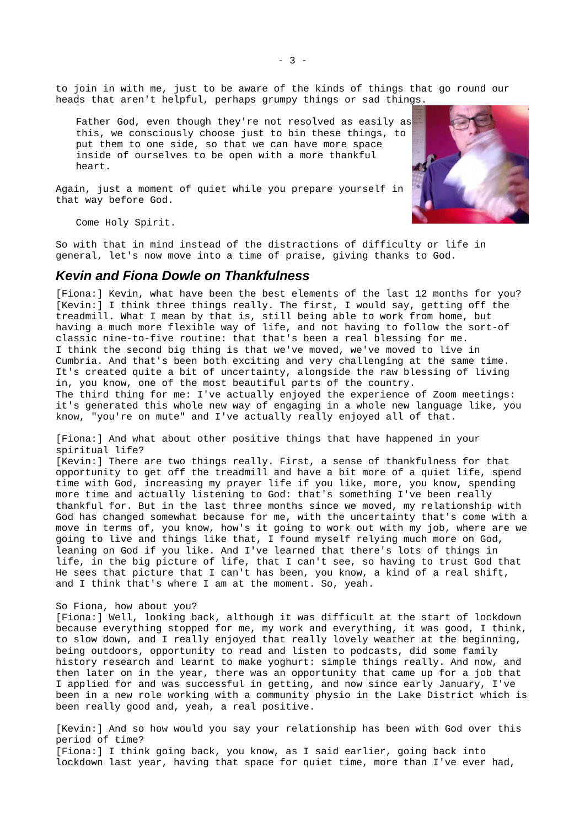to join in with me, just to be aware of the kinds of things that go round our heads that aren't helpful, perhaps grumpy things or sad things.

Father God, even though they're not resolved as easily as this, we consciously choose just to bin these things, to put them to one side, so that we can have more space inside of ourselves to be open with a more thankful heart.

Again, just a moment of quiet while you prepare yourself in that way before God.



Come Holy Spirit.

So with that in mind instead of the distractions of difficulty or life in general, let's now move into a time of praise, giving thanks to God.

#### <span id="page-2-0"></span>*Kevin and Fiona Dowle on Thankfulness*

[Fiona:] Kevin, what have been the best elements of the last 12 months for you? [Kevin:] I think three things really. The first, I would say, getting off the treadmill. What I mean by that is, still being able to work from home, but having a much more flexible way of life, and not having to follow the sort-of classic nine-to-five routine: that that's been a real blessing for me. I think the second big thing is that we've moved, we've moved to live in Cumbria. And that's been both exciting and very challenging at the same time. It's created quite a bit of uncertainty, alongside the raw blessing of living in, you know, one of the most beautiful parts of the country. The third thing for me: I've actually enjoyed the experience of Zoom meetings: it's generated this whole new way of engaging in a whole new language like, you know, "you're on mute" and I've actually really enjoyed all of that.

[Fiona:] And what about other positive things that have happened in your spiritual life?

[Kevin:] There are two things really. First, a sense of thankfulness for that opportunity to get off the treadmill and have a bit more of a quiet life, spend time with God, increasing my prayer life if you like, more, you know, spending more time and actually listening to God: that's something I've been really thankful for. But in the last three months since we moved, my relationship with God has changed somewhat because for me, with the uncertainty that's come with a move in terms of, you know, how's it going to work out with my job, where are we going to live and things like that, I found myself relying much more on God, leaning on God if you like. And I've learned that there's lots of things in life, in the big picture of life, that I can't see, so having to trust God that He sees that picture that I can't has been, you know, a kind of a real shift, and I think that's where I am at the moment. So, yeah.

#### So Fiona, how about you?

[Fiona:] Well, looking back, although it was difficult at the start of lockdown because everything stopped for me, my work and everything, it was good, I think, to slow down, and I really enjoyed that really lovely weather at the beginning, being outdoors, opportunity to read and listen to podcasts, did some family history research and learnt to make yoghurt: simple things really. And now, and then later on in the year, there was an opportunity that came up for a job that I applied for and was successful in getting, and now since early January, I've been in a new role working with a community physio in the Lake District which is been really good and, yeah, a real positive.

[Kevin:] And so how would you say your relationship has been with God over this period of time?

[Fiona:] I think going back, you know, as I said earlier, going back into lockdown last year, having that space for quiet time, more than I've ever had,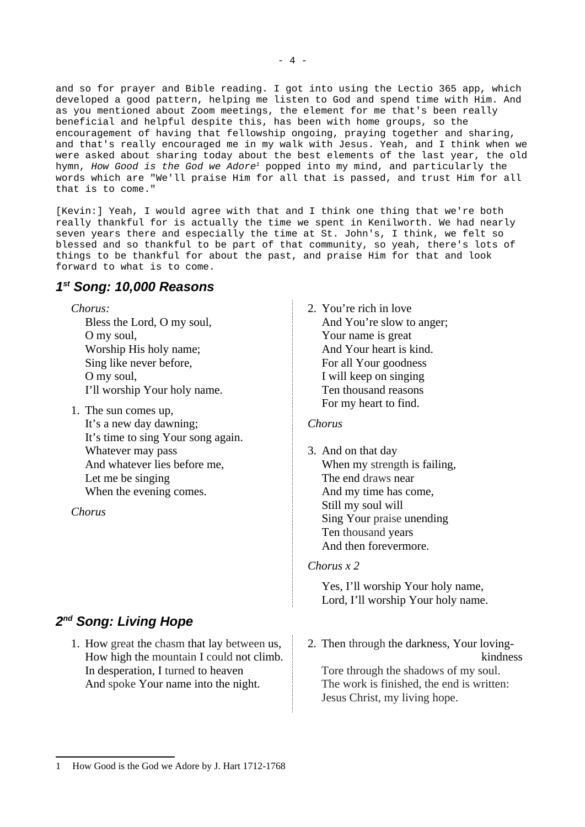and so for prayer and Bible reading. I got into using the Lectio 365 app, which developed a good pattern, helping me listen to God and spend time with Him. And as you mentioned about Zoom meetings, the element for me that's been really beneficial and helpful despite this, has been with home groups, so the encouragement of having that fellowship ongoing, praying together and sharing, and that's really encouraged me in my walk with Jesus. Yeah, and I think when we were asked about sharing today about the best elements of the last year, the old hymn, *How Good is the God we Adore[1](#page-3-2)* popped into my mind, and particularly the words which are "We'll praise Him for all that is passed, and trust Him for all that is to come."

[Kevin:] Yeah, I would agree with that and I think one thing that we're both really thankful for is actually the time we spent in Kenilworth. We had nearly seven years there and especially the time at St. John's, I think, we felt so blessed and so thankful to be part of that community, so yeah, there's lots of things to be thankful for about the past, and praise Him for that and look forward to what is to come.

# <span id="page-3-0"></span>*1 st Song: 10,000 Reasons*

*Chorus:*

Bless the Lord, O my soul, O my soul, Worship His holy name; Sing like never before, O my soul, I'll worship Your holy name.

1. The sun comes up,

It's a new day dawning; It's time to sing Your song again. Whatever may pass And whatever lies before me, Let me be singing When the evening comes.

*Chorus*

# <span id="page-3-1"></span>*2 nd Song: Living Hope*

1. How great the chasm that lay between us, How high the mountain I could not climb. In desperation, I turned to heaven And spoke Your name into the night.

2. You're rich in love And You're slow to anger; Your name is great And Your heart is kind. For all Your goodness I will keep on singing Ten thousand reasons For my heart to find.

## *Chorus*

3. And on that day When my [strength](https://www.definitions.net/definition/strength) is failing, The end [draws](https://www.definitions.net/definition/draws) near And my time has come, Still my soul will Sing Your [praise](https://www.definitions.net/definition/praise) unending Ten [thousand](https://www.definitions.net/definition/thousand) years And then forevermore.

## *Chorus x 2*

Yes, I'll worship Your holy name, Lord, I'll worship Your holy name.

2. Then through the darkness, Your lovingkindness Tore through the shadows of my soul. The work is finished, the end is written: Jesus Christ, my living hope.

<span id="page-3-2"></span><sup>1</sup> How Good is the God we Adore by J. Hart 1712-1768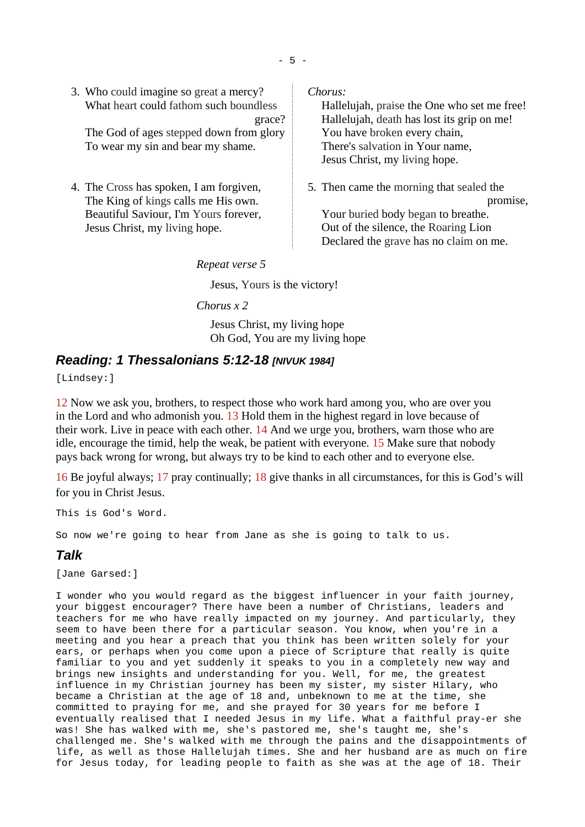3. Who could imagine so great a mercy? What heart could fathom such boundless grace? The God of ages stepped down from glory

To wear my sin and bear my shame.

4. The Cross has spoken, I am forgiven, The King of kings calls me His own. Beautiful Saviour, I'm Yours forever, Jesus Christ, my living hope.

*Chorus:*

Hallelujah, praise the One who set me free! Hallelujah, death has lost its grip on me! You have broken every chain, There's salvation in Your name, Jesus Christ, my living hope.

5. Then came the morning that sealed the promise, Your buried body began to breathe. Out of the silence, the Roaring Lion Declared the grave has no claim on me.

*Repeat verse 5*

Jesus, Yours is the victory!

*Chorus x 2*

Jesus Christ, my living hope Oh God, You are my living hope

# <span id="page-4-1"></span>*Reading: 1 Thessalonians 5:12-18 [NIVUK 1984]*

[Lindsey:]

12 Now we ask you, brothers, to respect those who work hard among you, who are over you in the Lord and who admonish you. 13 Hold them in the highest regard in love because of their work. Live in peace with each other. 14 And we urge you, brothers, warn those who are idle, encourage the timid, help the weak, be patient with everyone. 15 Make sure that nobody pays back wrong for wrong, but always try to be kind to each other and to everyone else.

16 Be joyful always; 17 pray continually; 18 give thanks in all circumstances, for this is God's will for you in Christ Jesus.

This is God's Word.

So now we're going to hear from Jane as she is going to talk to us.

# <span id="page-4-0"></span>*Talk*

[Jane Garsed:]

I wonder who you would regard as the biggest influencer in your faith journey, your biggest encourager? There have been a number of Christians, leaders and teachers for me who have really impacted on my journey. And particularly, they seem to have been there for a particular season. You know, when you're in a meeting and you hear a preach that you think has been written solely for your ears, or perhaps when you come upon a piece of Scripture that really is quite familiar to you and yet suddenly it speaks to you in a completely new way and brings new insights and understanding for you. Well, for me, the greatest influence in my Christian journey has been my sister, my sister Hilary, who became a Christian at the age of 18 and, unbeknown to me at the time, she committed to praying for me, and she prayed for 30 years for me before I eventually realised that I needed Jesus in my life. What a faithful pray-er she was! She has walked with me, she's pastored me, she's taught me, she's challenged me. She's walked with me through the pains and the disappointments of life, as well as those Hallelujah times. She and her husband are as much on fire for Jesus today, for leading people to faith as she was at the age of 18. Their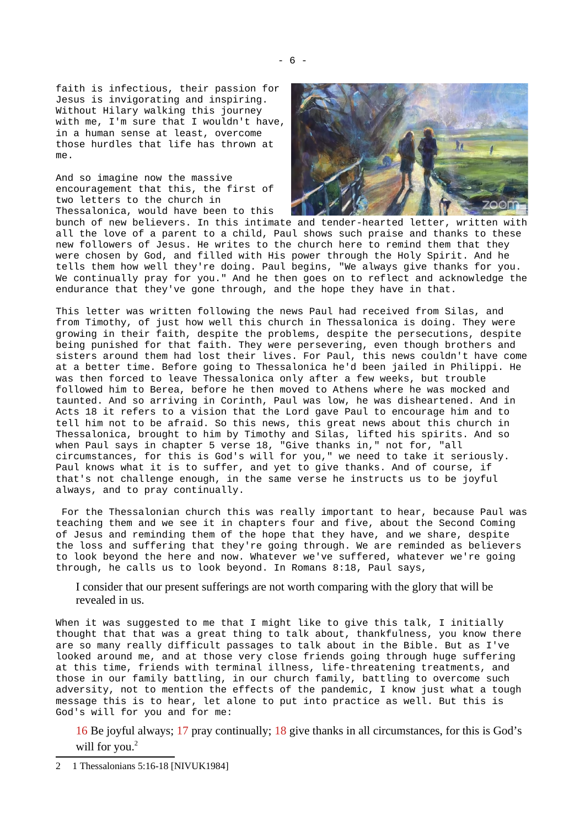faith is infectious, their passion for Jesus is invigorating and inspiring. Without Hilary walking this journey with me, I'm sure that I wouldn't have, in a human sense at least, overcome those hurdles that life has thrown at  $m \rho$ .

And so imagine now the massive encouragement that this, the first of two letters to the church in Thessalonica, would have been to this



bunch of new believers. In this intimate and tender-hearted letter, written with all the love of a parent to a child, Paul shows such praise and thanks to these new followers of Jesus. He writes to the church here to remind them that they were chosen by God, and filled with His power through the Holy Spirit. And he tells them how well they're doing. Paul begins, "We always give thanks for you. We continually pray for you." And he then goes on to reflect and acknowledge the endurance that they've gone through, and the hope they have in that.

This letter was written following the news Paul had received from Silas, and from Timothy, of just how well this church in Thessalonica is doing. They were growing in their faith, despite the problems, despite the persecutions, despite being punished for that faith. They were persevering, even though brothers and sisters around them had lost their lives. For Paul, this news couldn't have come at a better time. Before going to Thessalonica he'd been jailed in Philippi. He was then forced to leave Thessalonica only after a few weeks, but trouble followed him to Berea, before he then moved to Athens where he was mocked and taunted. And so arriving in Corinth, Paul was low, he was disheartened. And in Acts 18 it refers to a vision that the Lord gave Paul to encourage him and to tell him not to be afraid. So this news, this great news about this church in Thessalonica, brought to him by Timothy and Silas, lifted his spirits. And so when Paul says in chapter 5 verse 18, "Give thanks in," not for, "all circumstances, for this is God's will for you," we need to take it seriously. Paul knows what it is to suffer, and yet to give thanks. And of course, if that's not challenge enough, in the same verse he instructs us to be joyful always, and to pray continually.

 For the Thessalonian church this was really important to hear, because Paul was teaching them and we see it in chapters four and five, about the Second Coming of Jesus and reminding them of the hope that they have, and we share, despite the loss and suffering that they're going through. We are reminded as believers to look beyond the here and now. Whatever we've suffered, whatever we're going through, he calls us to look beyond. In Romans 8:18, Paul says,

I consider that our present sufferings are not worth comparing with the glory that will be revealed in us.

When it was suggested to me that I might like to give this talk, I initially thought that that was a great thing to talk about, thankfulness, you know there are so many really difficult passages to talk about in the Bible. But as I've looked around me, and at those very close friends going through huge suffering at this time, friends with terminal illness, life-threatening treatments, and those in our family battling, in our church family, battling to overcome such adversity, not to mention the effects of the pandemic, I know just what a tough message this is to hear, let alone to put into practice as well. But this is God's will for you and for me:

16 Be joyful always; 17 pray continually; 18 give thanks in all circumstances, for this is God's will for you.<sup>[2](#page-5-0)</sup>

<span id="page-5-0"></span><sup>2</sup> 1 Thessalonians 5:16-18 [NIVUK1984]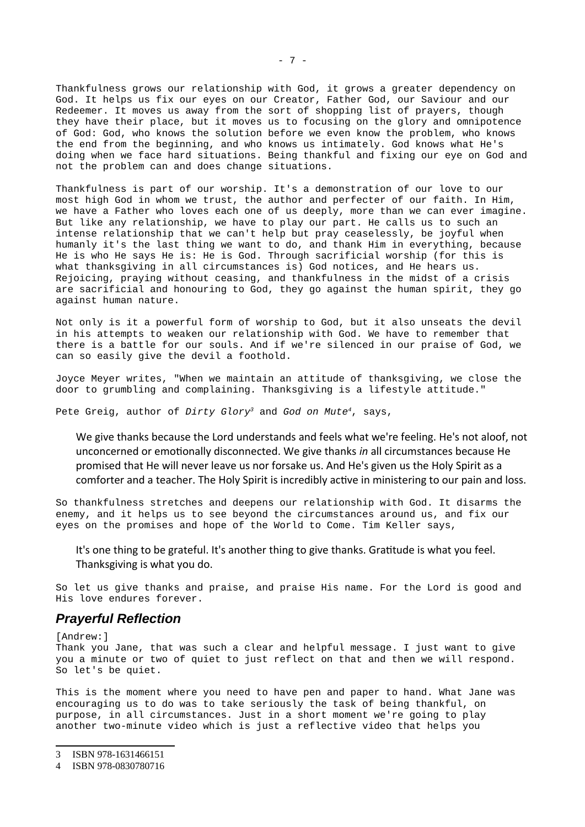Thankfulness grows our relationship with God, it grows a greater dependency on God. It helps us fix our eyes on our Creator, Father God, our Saviour and our Redeemer. It moves us away from the sort of shopping list of prayers, though they have their place, but it moves us to focusing on the glory and omnipotence of God: God, who knows the solution before we even know the problem, who knows the end from the beginning, and who knows us intimately. God knows what He's doing when we face hard situations. Being thankful and fixing our eye on God and not the problem can and does change situations.

Thankfulness is part of our worship. It's a demonstration of our love to our most high God in whom we trust, the author and perfecter of our faith. In Him, we have a Father who loves each one of us deeply, more than we can ever imagine. But like any relationship, we have to play our part. He calls us to such an intense relationship that we can't help but pray ceaselessly, be joyful when humanly it's the last thing we want to do, and thank Him in everything, because He is who He says He is: He is God. Through sacrificial worship (for this is what thanksgiving in all circumstances is) God notices, and He hears us. Rejoicing, praying without ceasing, and thankfulness in the midst of a crisis are sacrificial and honouring to God, they go against the human spirit, they go against human nature.

Not only is it a powerful form of worship to God, but it also unseats the devil in his attempts to weaken our relationship with God. We have to remember that there is a battle for our souls. And if we're silenced in our praise of God, we can so easily give the devil a foothold.

Joyce Meyer writes, "When we maintain an attitude of thanksgiving, we close the door to grumbling and complaining. Thanksgiving is a lifestyle attitude."

Pete Greig, author of *Dirty Glory[3](#page-6-1)* and *God on Mute[4](#page-6-2)*, says,

We give thanks because the Lord understands and feels what we're feeling. He's not aloof, not unconcerned or emotionally disconnected. We give thanks *in* all circumstances because He promised that He will never leave us nor forsake us. And He's given us the Holy Spirit as a comforter and a teacher. The Holy Spirit is incredibly active in ministering to our pain and loss.

So thankfulness stretches and deepens our relationship with God. It disarms the enemy, and it helps us to see beyond the circumstances around us, and fix our eyes on the promises and hope of the World to Come. Tim Keller says,

It's one thing to be grateful. It's another thing to give thanks. Gratitude is what you feel. Thanksgiving is what you do.

So let us give thanks and praise, and praise His name. For the Lord is good and His love endures forever.

#### <span id="page-6-0"></span>*Prayerful Reflection*

[Andrew:]

Thank you Jane, that was such a clear and helpful message. I just want to give you a minute or two of quiet to just reflect on that and then we will respond. So let's be quiet.

This is the moment where you need to have pen and paper to hand. What Jane was encouraging us to do was to take seriously the task of being thankful, on purpose, in all circumstances. Just in a short moment we're going to play another two-minute video which is just a reflective video that helps you

<span id="page-6-1"></span><sup>3</sup> ISBN 978-1631466151

<span id="page-6-2"></span><sup>4</sup> ISBN 978-0830780716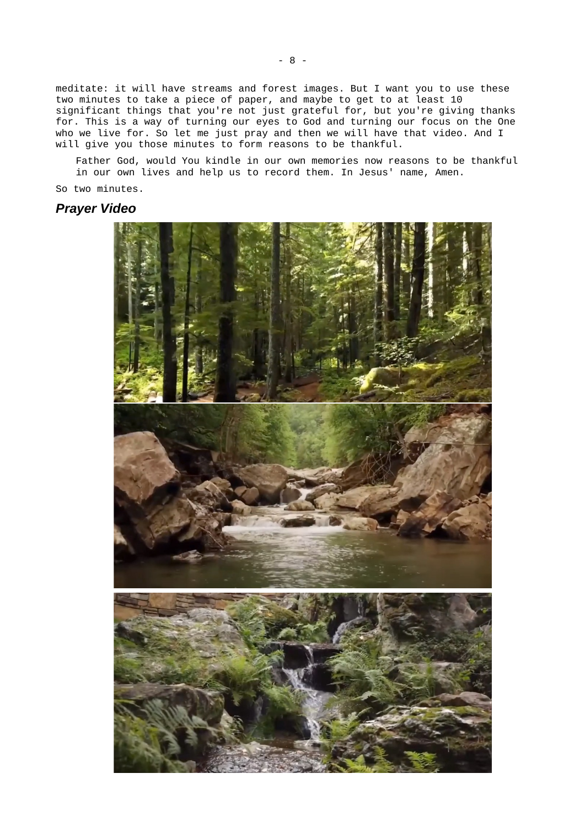meditate: it will have streams and forest images. But I want you to use these two minutes to take a piece of paper, and maybe to get to at least 10 significant things that you're not just grateful for, but you're giving thanks for. This is a way of turning our eyes to God and turning our focus on the One who we live for. So let me just pray and then we will have that video. And I will give you those minutes to form reasons to be thankful.

Father God, would You kindle in our own memories now reasons to be thankful in our own lives and help us to record them. In Jesus' name, Amen.

So two minutes.

### *Prayer Video*

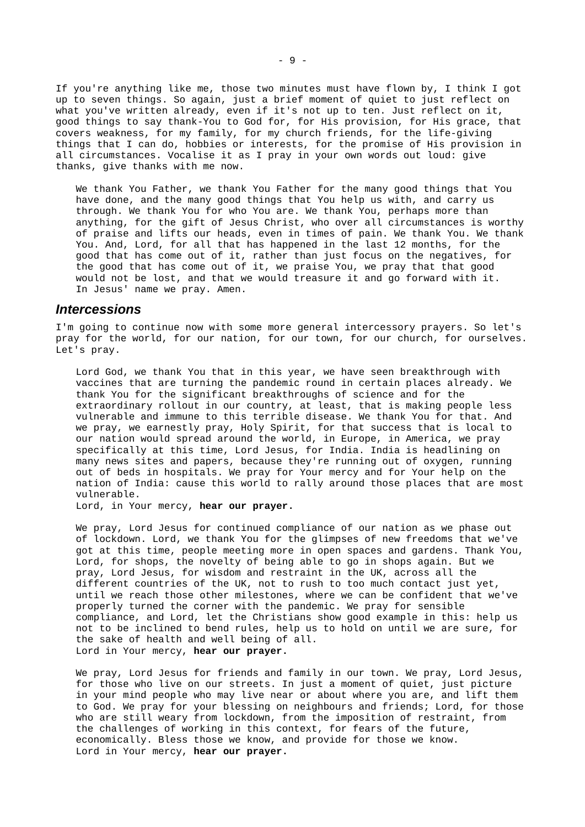If you're anything like me, those two minutes must have flown by, I think I got up to seven things. So again, just a brief moment of quiet to just reflect on what you've written already, even if it's not up to ten. Just reflect on it, good things to say thank-You to God for, for His provision, for His grace, that covers weakness, for my family, for my church friends, for the life-giving things that I can do, hobbies or interests, for the promise of His provision in all circumstances. Vocalise it as I pray in your own words out loud: give thanks, give thanks with me now.

We thank You Father, we thank You Father for the many good things that You have done, and the many good things that You help us with, and carry us through. We thank You for who You are. We thank You, perhaps more than anything, for the gift of Jesus Christ, who over all circumstances is worthy of praise and lifts our heads, even in times of pain. We thank You. We thank You. And, Lord, for all that has happened in the last 12 months, for the good that has come out of it, rather than just focus on the negatives, for the good that has come out of it, we praise You, we pray that that good would not be lost, and that we would treasure it and go forward with it. In Jesus' name we pray. Amen.

#### <span id="page-8-0"></span>*Intercessions*

I'm going to continue now with some more general intercessory prayers. So let's pray for the world, for our nation, for our town, for our church, for ourselves. Let's pray.

Lord God, we thank You that in this year, we have seen breakthrough with vaccines that are turning the pandemic round in certain places already. We thank You for the significant breakthroughs of science and for the extraordinary rollout in our country, at least, that is making people less vulnerable and immune to this terrible disease. We thank You for that. And we pray, we earnestly pray, Holy Spirit, for that success that is local to our nation would spread around the world, in Europe, in America, we pray specifically at this time, Lord Jesus, for India. India is headlining on many news sites and papers, because they're running out of oxygen, running out of beds in hospitals. We pray for Your mercy and for Your help on the nation of India: cause this world to rally around those places that are most vulnerable.

Lord, in Your mercy, **hear our prayer.**

We pray, Lord Jesus for continued compliance of our nation as we phase out of lockdown. Lord, we thank You for the glimpses of new freedoms that we've got at this time, people meeting more in open spaces and gardens. Thank You, Lord, for shops, the novelty of being able to go in shops again. But we pray, Lord Jesus, for wisdom and restraint in the UK, across all the different countries of the UK, not to rush to too much contact just yet, until we reach those other milestones, where we can be confident that we've properly turned the corner with the pandemic. We pray for sensible compliance, and Lord, let the Christians show good example in this: help us not to be inclined to bend rules, help us to hold on until we are sure, for the sake of health and well being of all. Lord in Your mercy, **hear our prayer.**

We pray, Lord Jesus for friends and family in our town. We pray, Lord Jesus, for those who live on our streets. In just a moment of quiet, just picture in your mind people who may live near or about where you are, and lift them to God. We pray for your blessing on neighbours and friends; Lord, for those who are still weary from lockdown, from the imposition of restraint, from the challenges of working in this context, for fears of the future, economically. Bless those we know, and provide for those we know. Lord in Your mercy, **hear our prayer.**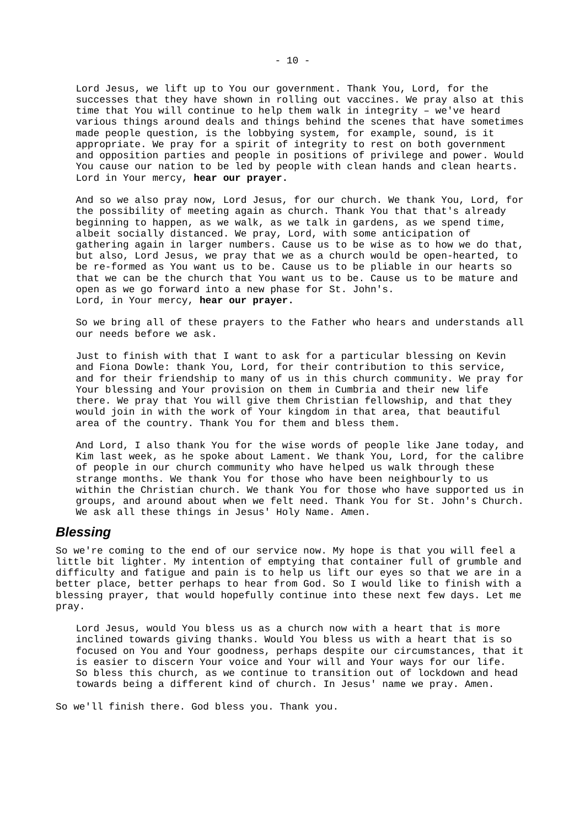Lord Jesus, we lift up to You our government. Thank You, Lord, for the successes that they have shown in rolling out vaccines. We pray also at this time that You will continue to help them walk in integrity – we've heard various things around deals and things behind the scenes that have sometimes made people question, is the lobbying system, for example, sound, is it appropriate. We pray for a spirit of integrity to rest on both government and opposition parties and people in positions of privilege and power. Would You cause our nation to be led by people with clean hands and clean hearts. Lord in Your mercy, **hear our prayer.**

And so we also pray now, Lord Jesus, for our church. We thank You, Lord, for the possibility of meeting again as church. Thank You that that's already beginning to happen, as we walk, as we talk in gardens, as we spend time, albeit socially distanced. We pray, Lord, with some anticipation of gathering again in larger numbers. Cause us to be wise as to how we do that, but also, Lord Jesus, we pray that we as a church would be open-hearted, to be re-formed as You want us to be. Cause us to be pliable in our hearts so that we can be the church that You want us to be. Cause us to be mature and open as we go forward into a new phase for St. John's. Lord, in Your mercy, **hear our prayer.** 

So we bring all of these prayers to the Father who hears and understands all our needs before we ask.

Just to finish with that I want to ask for a particular blessing on Kevin and Fiona Dowle: thank You, Lord, for their contribution to this service, and for their friendship to many of us in this church community. We pray for Your blessing and Your provision on them in Cumbria and their new life there. We pray that You will give them Christian fellowship, and that they would join in with the work of Your kingdom in that area, that beautiful area of the country. Thank You for them and bless them.

And Lord, I also thank You for the wise words of people like Jane today, and Kim last week, as he spoke about Lament. We thank You, Lord, for the calibre of people in our church community who have helped us walk through these strange months. We thank You for those who have been neighbourly to us within the Christian church. We thank You for those who have supported us in groups, and around about when we felt need. Thank You for St. John's Church. We ask all these things in Jesus' Holy Name. Amen.

### <span id="page-9-0"></span>*Blessing*

So we're coming to the end of our service now. My hope is that you will feel a little bit lighter. My intention of emptying that container full of grumble and difficulty and fatigue and pain is to help us lift our eyes so that we are in a better place, better perhaps to hear from God. So I would like to finish with a blessing prayer, that would hopefully continue into these next few days. Let me pray.

Lord Jesus, would You bless us as a church now with a heart that is more inclined towards giving thanks. Would You bless us with a heart that is so focused on You and Your goodness, perhaps despite our circumstances, that it is easier to discern Your voice and Your will and Your ways for our life. So bless this church, as we continue to transition out of lockdown and head towards being a different kind of church. In Jesus' name we pray. Amen.

So we'll finish there. God bless you. Thank you.